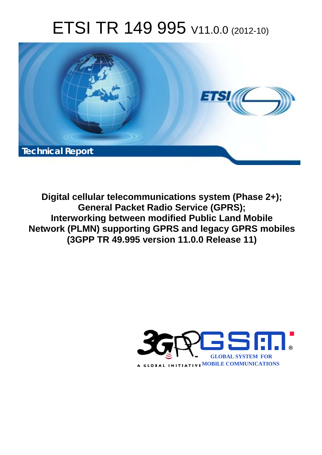# ETSI TR 149 995 V11.0.0 (2012-10)



**Digital cellular telecommunications system (Phase 2+); General Packet Radio Service (GPRS); Interworking between modified Public Land Mobile Network (PLMN) supporting GPRS and legacy GPRS mobiles (3GPP TR 49.995 version 11.0.0 Release 11)** 

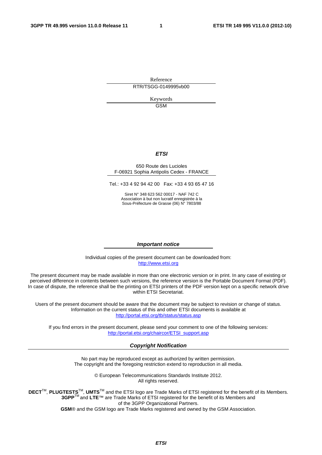Reference RTR/TSGG-0149995vb00

> Keywords GSM

#### *ETSI*

#### 650 Route des Lucioles F-06921 Sophia Antipolis Cedex - FRANCE

Tel.: +33 4 92 94 42 00 Fax: +33 4 93 65 47 16

Siret N° 348 623 562 00017 - NAF 742 C Association à but non lucratif enregistrée à la Sous-Préfecture de Grasse (06) N° 7803/88

#### *Important notice*

Individual copies of the present document can be downloaded from: [http://www.etsi.org](http://www.etsi.org/)

The present document may be made available in more than one electronic version or in print. In any case of existing or perceived difference in contents between such versions, the reference version is the Portable Document Format (PDF). In case of dispute, the reference shall be the printing on ETSI printers of the PDF version kept on a specific network drive within ETSI Secretariat.

Users of the present document should be aware that the document may be subject to revision or change of status. Information on the current status of this and other ETSI documents is available at <http://portal.etsi.org/tb/status/status.asp>

If you find errors in the present document, please send your comment to one of the following services: [http://portal.etsi.org/chaircor/ETSI\\_support.asp](http://portal.etsi.org/chaircor/ETSI_support.asp)

#### *Copyright Notification*

No part may be reproduced except as authorized by written permission. The copyright and the foregoing restriction extend to reproduction in all media.

> © European Telecommunications Standards Institute 2012. All rights reserved.

**DECT**TM, **PLUGTESTS**TM, **UMTS**TM and the ETSI logo are Trade Marks of ETSI registered for the benefit of its Members. **3GPP**TM and **LTE**™ are Trade Marks of ETSI registered for the benefit of its Members and of the 3GPP Organizational Partners.

**GSM**® and the GSM logo are Trade Marks registered and owned by the GSM Association.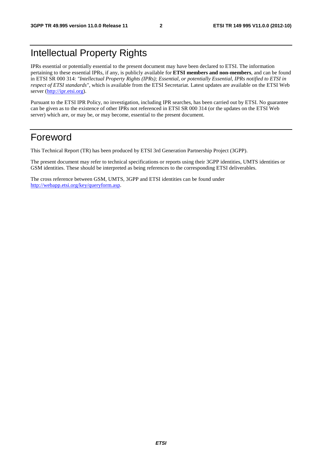## Intellectual Property Rights

IPRs essential or potentially essential to the present document may have been declared to ETSI. The information pertaining to these essential IPRs, if any, is publicly available for **ETSI members and non-members**, and can be found in ETSI SR 000 314: *"Intellectual Property Rights (IPRs); Essential, or potentially Essential, IPRs notified to ETSI in respect of ETSI standards"*, which is available from the ETSI Secretariat. Latest updates are available on the ETSI Web server [\(http://ipr.etsi.org](http://webapp.etsi.org/IPR/home.asp)).

Pursuant to the ETSI IPR Policy, no investigation, including IPR searches, has been carried out by ETSI. No guarantee can be given as to the existence of other IPRs not referenced in ETSI SR 000 314 (or the updates on the ETSI Web server) which are, or may be, or may become, essential to the present document.

### Foreword

This Technical Report (TR) has been produced by ETSI 3rd Generation Partnership Project (3GPP).

The present document may refer to technical specifications or reports using their 3GPP identities, UMTS identities or GSM identities. These should be interpreted as being references to the corresponding ETSI deliverables.

The cross reference between GSM, UMTS, 3GPP and ETSI identities can be found under [http://webapp.etsi.org/key/queryform.asp.](http://webapp.etsi.org/key/queryform.asp)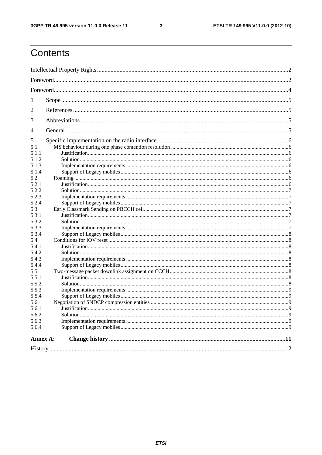$\mathbf{3}$ 

# Contents

| 1                                                                                                                                                                                             |  |  |  |  |  |  |
|-----------------------------------------------------------------------------------------------------------------------------------------------------------------------------------------------|--|--|--|--|--|--|
| 2                                                                                                                                                                                             |  |  |  |  |  |  |
| 3                                                                                                                                                                                             |  |  |  |  |  |  |
| 4                                                                                                                                                                                             |  |  |  |  |  |  |
| 5<br>5.1<br>5.1.1<br>5.1.2<br>5.1.3<br>5.1.4<br>5.2<br>5.2.1<br>5.2.2<br>5.2.3<br>5.2.4<br>5.3<br>5.3.1<br>5.3.2<br>5.3.3<br>5.3.4<br>5.4<br>5.4.1<br>5.4.2<br>5.4.3<br>5.4.4<br>5.5<br>5.5.1 |  |  |  |  |  |  |
| 5.5.2<br>5.5.3                                                                                                                                                                                |  |  |  |  |  |  |
| 5.5.4<br>5.6<br>5.6.1<br>5.6.2                                                                                                                                                                |  |  |  |  |  |  |
| 5.6.3<br>5.6.4                                                                                                                                                                                |  |  |  |  |  |  |
| Annex A:                                                                                                                                                                                      |  |  |  |  |  |  |
|                                                                                                                                                                                               |  |  |  |  |  |  |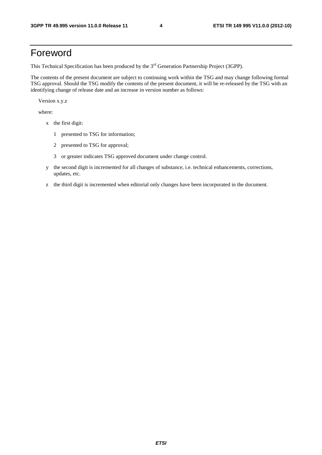### Foreword

This Technical Specification has been produced by the 3<sup>rd</sup> Generation Partnership Project (3GPP).

The contents of the present document are subject to continuing work within the TSG and may change following formal TSG approval. Should the TSG modify the contents of the present document, it will be re-released by the TSG with an identifying change of release date and an increase in version number as follows:

Version x.y.z

where:

- x the first digit:
	- 1 presented to TSG for information;
	- 2 presented to TSG for approval;
	- 3 or greater indicates TSG approved document under change control.
- y the second digit is incremented for all changes of substance, i.e. technical enhancements, corrections, updates, etc.
- z the third digit is incremented when editorial only changes have been incorporated in the document.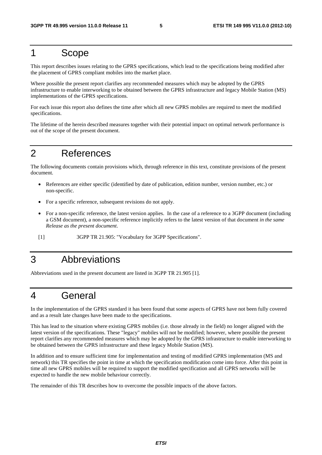### 1 Scope

This report describes issues relating to the GPRS specifications, which lead to the specifications being modified after the placement of GPRS compliant mobiles into the market place.

Where possible the present report clarifies any recommended measures which may be adopted by the GPRS infrastructure to enable interworking to be obtained between the GPRS infrastructure and legacy Mobile Station (MS) implementations of the GPRS specifications.

For each issue this report also defines the time after which all new GPRS mobiles are required to meet the modified specifications.

The lifetime of the herein described measures together with their potential impact on optimal network performance is out of the scope of the present document.

### 2 References

The following documents contain provisions which, through reference in this text, constitute provisions of the present document.

- References are either specific (identified by date of publication, edition number, version number, etc.) or non-specific.
- For a specific reference, subsequent revisions do not apply.
- For a non-specific reference, the latest version applies. In the case of a reference to a 3GPP document (including a GSM document), a non-specific reference implicitly refers to the latest version of that document *in the same Release as the present document*.
- [1] 3GPP TR 21.905: "Vocabulary for 3GPP Specifications".

## 3 Abbreviations

Abbreviations used in the present document are listed in 3GPP TR 21.905 [1].

### 4 General

In the implementation of the GPRS standard it has been found that some aspects of GPRS have not been fully covered and as a result late changes have been made to the specifications.

This has lead to the situation where existing GPRS mobiles (i.e. those already in the field) no longer aligned with the latest version of the specifications. These "legacy" mobiles will not be modified; however, where possible the present report clarifies any recommended measures which may be adopted by the GPRS infrastructure to enable interworking to be obtained between the GPRS infrastructure and these legacy Mobile Station (MS).

In addition and to ensure sufficient time for implementation and testing of modified GPRS implementation (MS and network) this TR specifies the point in time at which the specification modification come into force. After this point in time all new GPRS mobiles will be required to support the modified specification and all GPRS networks will be expected to handle the new mobile behaviour correctly.

The remainder of this TR describes how to overcome the possible impacts of the above factors.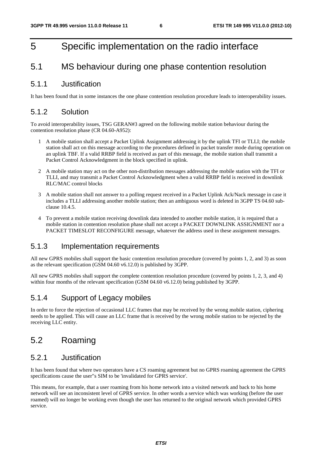### 5 Specific implementation on the radio interface

#### 5.1 MS behaviour during one phase contention resolution

#### 5.1.1 Justification

It has been found that in some instances the one phase contention resolution procedure leads to interoperability issues.

#### 5.1.2 Solution

To avoid interoperability issues, TSG GERAN#3 agreed on the following mobile station behaviour during the contention resolution phase (CR 04.60-A952):

- 1 A mobile station shall accept a Packet Uplink Assignment addressing it by the uplink TFI or TLLI; the mobile station shall act on this message according to the procedures defined in packet transfer mode during operation on an uplink TBF. If a valid RRBP field is received as part of this message, the mobile station shall transmit a Packet Control Acknowledgment in the block specified in uplink.
- 2 A mobile station may act on the other non-distribution messages addressing the mobile station with the TFI or TLLI, and may transmit a Packet Control Acknowledgment when a valid RRBP field is received in downlink RLC/MAC control blocks
- 3 A mobile station shall not answer to a polling request received in a Packet Uplink Ack/Nack message in case it includes a TLLI addressing another mobile station; then an ambiguous word is deleted in 3GPP TS 04.60 subclause 10.4.5.
- 4 To prevent a mobile station receiving downlink data intended to another mobile station, it is required that a mobile station in contention resolution phase shall not accept a PACKET DOWNLINK ASSIGNMENT nor a PACKET TIMESLOT RECONFIGURE message, whatever the address used in these assignment messages.

#### 5.1.3 Implementation requirements

All new GPRS mobiles shall support the basic contention resolution procedure (covered by points 1, 2, and 3) as soon as the relevant specification (GSM 04.60 v6.12.0) is published by 3GPP.

All new GPRS mobiles shall support the complete contention resolution procedure (covered by points 1, 2, 3, and 4) within four months of the relevant specification (GSM 04.60 v6.12.0) being published by 3GPP.

#### 5.1.4 Support of Legacy mobiles

In order to force the rejection of occasional LLC frames that may be received by the wrong mobile station, ciphering needs to be applied. This will cause an LLC frame that is received by the wrong mobile station to be rejected by the receiving LLC entity.

### 5.2 Roaming

#### 5.2.1 Justification

It has been found that where two operators have a CS roaming agreement but no GPRS roaming agreement the GPRS specifications cause the user"s SIM to be 'invalidated for GPRS service'.

This means, for example, that a user roaming from his home network into a visited network and back to his home network will see an inconsistent level of GPRS service. In other words a service which was working (before the user roamed) will no longer be working even though the user has returned to the original network which provided GPRS service.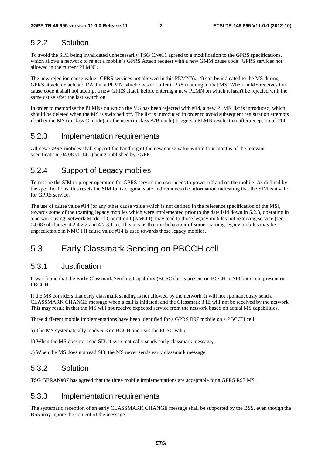#### 5.2.2 Solution

To avoid the SIM being invalidated unnecessarily TSG CN#11 agreed to a modification to the GPRS specifications, which allows a network to reject a mobile"s GPRS Attach request with a new GMM cause code "GPRS services not allowed in the current PLMN".

The new rejection cause value "GPRS services not allowed in this PLMN"(#14) can be indicated to the MS during GPRS attach, detach and RAU in a PLMN which does not offer GPRS roaming to that MS. When an MS receives this cause code it shall not attempt a new GPRS attach before entering a new PLMN on which it hasn't be rejected with the same cause after the last switch on.

In order to memorise the PLMNs on which the MS has been rejected with #14, a new PLMN list is introduced, which should be deleted when the MS is switched off. The list is introduced in order to avoid subsequent registration attempts if either the MS (in class C mode), or the user (in class A/B mode) triggers a PLMN reselection after reception of #14.

#### 5.2.3 Implementation requirements

All new GPRS mobiles shall support the handling of the new cause value within four months of the relevant specification (04.08 v6.14.0) being published by 3GPP.

#### 5.2.4 Support of Legacy mobiles

To restore the SIM to proper operation for GPRS service the user needs to power off and on the mobile. As defined by the specifications, this resets the SIM to its original state and removes the information indicating that the SIM is invalid for GPRS service.

The use of cause value #14 (or any other cause value which is not defined in the reference specification of the MS), towards some of the roaming legacy mobiles which were implemented prior to the date laid down in 5.2.3, operating in a network using Network Mode of Operation I (NMO I), may lead to those legacy mobiles not receiving service (see 04.08 subclauses 4.2.4.2.2 and 4.7.3.1.5). This means that the behaviour of some roaming legacy mobiles may be unpredictable in NMO I if cause value #14 is used towards those legacy mobiles.

### 5.3 Early Classmark Sending on PBCCH cell

#### 5.3.1 Justification

It was found that the Early Classmark Sending Capability (ECSC) bit is present on BCCH in SI3 but is not present on PBCCH.

If the MS considers that early classmark sending is not allowed by the network, it will not spontaneously send a CLASSMARK CHANGE message when a call is initiated, and the Classmark 3 IE will not be received by the network. This may result in that the MS will not receive expected service from the network based on actual MS capabilities.

Three different mobile implementations have been identified for a GPRS R97 mobile on a PBCCH cell:

a) The MS systematically reads SI3 on BCCH and uses the ECSC value,

b) When the MS does not read SI3, it systematically sends early classmark message,

c) When the MS does not read SI3, the MS never sends early classmark message.

#### 5.3.2 Solution

TSG GERAN#07 has agreed that the three mobile implementations are acceptable for a GPRS R97 MS.

#### 5.3.3 Implementation requirements

The systematic reception of an early CLASSMARK CHANGE message shall be supported by the BSS, even though the BSS may ignore the content of the message.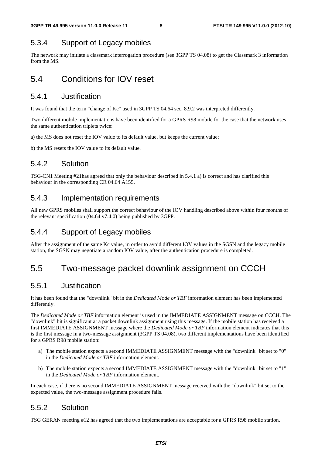### 5.3.4 Support of Legacy mobiles

The network may initiate a classmark interrogation procedure (see 3GPP TS 04.08) to get the Classmark 3 information from the MS.

### 5.4 Conditions for IOV reset

#### 5.4.1 Justification

It was found that the term "change of Kc" used in 3GPP TS 04.64 sec. 8.9.2 was interpreted differently.

Two different mobile implementations have been identified for a GPRS R98 mobile for the case that the network uses the same authentication triplets twice:

a) the MS does not reset the IOV value to its default value, but keeps the current value;

b) the MS resets the IOV value to its default value.

### 5.4.2 Solution

TSG-CN1 Meeting #21has agreed that only the behaviour described in 5.4.1 a) is correct and has clarified this behaviour in the corresponding CR 04.64 A155.

#### 5.4.3 Implementation requirements

All new GPRS mobiles shall support the correct behaviour of the IOV handling described above within four months of the relevant specification (04.64 v7.4.0) being published by 3GPP.

#### 5.4.4 Support of Legacy mobiles

After the assignment of the same Kc value, in order to avoid different IOV values in the SGSN and the legacy mobile station, the SGSN may negotiate a random IOV value, after the authentication procedure is completed.

### 5.5 Two-message packet downlink assignment on CCCH

#### 5.5.1 Justification

It has been found that the "downlink" bit in the *Dedicated Mode or TBF* information element has been implemented differently.

The *Dedicated Mode or TBF* information element is used in the IMMEDIATE ASSIGNMENT message on CCCH. The "downlink" bit is significant at a packet downlink assignment using this message. If the mobile station has received a first IMMEDIATE ASSIGNMENT message where the *Dedicated Mode or TBF* information element indicates that this is the first message in a two-message assignment (3GPP TS 04.08), two different implementations have been identified for a GPRS R98 mobile station:

- a) The mobile station expects a second IMMEDIATE ASSIGNMENT message with the "downlink" bit set to "0" in the *Dedicated Mode or TBF* information element.
- b) The mobile station expects a second IMMEDIATE ASSIGNMENT message with the "downlink" bit set to "1" in the *Dedicated Mode or TBF* information element.

In each case, if there is no second IMMEDIATE ASSIGNMENT message received with the "downlink" bit set to the expected value, the two-message assignment procedure fails.

#### 5.5.2 Solution

TSG GERAN meeting #12 has agreed that the two implementations are acceptable for a GPRS R98 mobile station.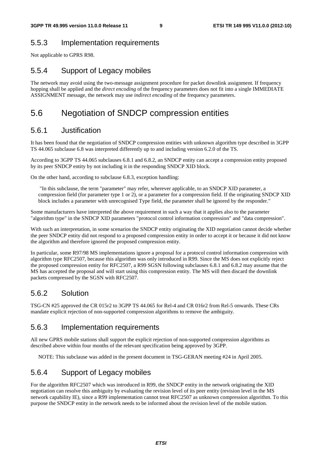#### 5.5.3 Implementation requirements

Not applicable to GPRS R98.

### 5.5.4 Support of Legacy mobiles

The network may avoid using the two-message assignment procedure for packet downlink assignment. If frequency hopping shall be applied and the *direct encoding* of the frequency parameters does not fit into a single IMMEDIATE ASSIGNMENT message, the network may use *indirect encoding* of the frequency parameters.

### 5.6 Negotiation of SNDCP compression entities

#### 5.6.1 Justification

It has been found that the negotiation of SNDCP compression entities with unknown algorithm type described in 3GPP TS 44.065 subclause 6.8 was interpreted differently up to and including version 6.2.0 of the TS.

According to 3GPP TS 44.065 subclauses 6.8.1 and 6.8.2, an SNDCP entity can accept a compression entity proposed by its peer SNDCP entity by not including it in the responding SNDCP XID block.

On the other hand, according to subclause 6.8.3, exception handling:

 "In this subclause, the term "parameter" may refer, wherever applicable, to an SNDCP XID parameter, a compression field (for parameter type 1 or 2), or a parameter for a compression field. If the originating SNDCP XID block includes a parameter with unrecognised Type field, the parameter shall be ignored by the responder."

Some manufacturers have interpreted the above requirement in such a way that it applies also to the parameter "algorithm type" in the SNDCP XID parameters "protocol control information compression" and "data compression".

With such an interpretation, in some scenarios the SNDCP entity originating the XID negotiation cannot decide whether the peer SNDCP entity did not respond to a proposed compression entity in order to accept it or because it did not know the algorithm and therefore ignored the proposed compression entity.

In particular, some R97/98 MS implementations ignore a proposal for a protocol control information compression with algorithm type RFC2507, because this algorithm was only introduced in R99. Since the MS does not explicitly reject the proposed compression entity for RFC2507, a R99 SGSN following subclauses 6.8.1 and 6.8.2 may assume that the MS has accepted the proposal and will start using this compression entity. The MS will then discard the downlink packets compressed by the SGSN with RFC2507.

#### 5.6.2 Solution

TSG-CN #25 approved the CR 015r2 to 3GPP TS 44.065 for Rel-4 and CR 016r2 from Rel-5 onwards. These CRs mandate explicit rejection of non-supported compression algorithms to remove the ambiguity.

#### 5.6.3 Implementation requirements

All new GPRS mobile stations shall support the explicit rejection of non-supported compression algorithms as described above within four months of the relevant specification being approved by 3GPP.

NOTE: This subclause was added in the present document in TSG-GERAN meeting #24 in April 2005.

#### 5.6.4 Support of Legacy mobiles

For the algorithm RFC2507 which was introduced in R99, the SNDCP entity in the network originating the XID negotiation can resolve this ambiguity by evaluating the revision level of its peer entity (revision level in the MS network capability IE), since a R99 implementation cannot treat RFC2507 as unknown compression algorithm. To this purpose the SNDCP entity in the network needs to be informed about the revision level of the mobile station.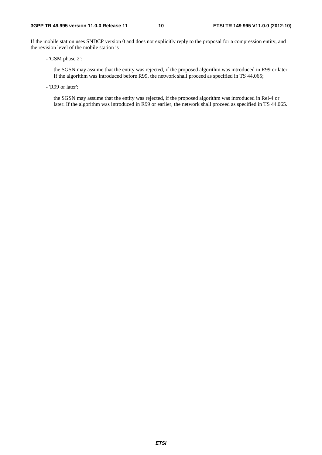If the mobile station uses SNDCP version 0 and does not explicitly reply to the proposal for a compression entity, and the revision level of the mobile station is

- 'GSM phase 2':

 the SGSN may assume that the entity was rejected, if the proposed algorithm was introduced in R99 or later. If the algorithm was introduced before R99, the network shall proceed as specified in TS 44.065;

- 'R99 or later':

 the SGSN may assume that the entity was rejected, if the proposed algorithm was introduced in Rel-4 or later. If the algorithm was introduced in R99 or earlier, the network shall proceed as specified in TS 44.065.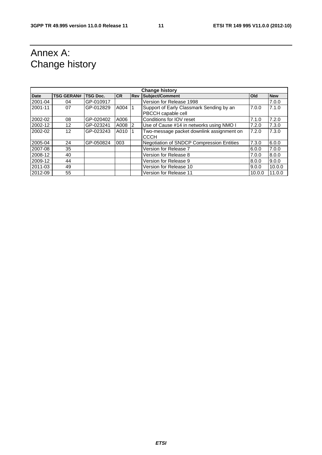# Annex A: Change history

| <b>Change history</b> |                   |                 |           |            |                                           |            |            |  |  |
|-----------------------|-------------------|-----------------|-----------|------------|-------------------------------------------|------------|------------|--|--|
| <b>Date</b>           | <b>TSG GERAN#</b> | <b>TSG Doc.</b> | <b>CR</b> | <b>Rev</b> | <b>Subject/Comment</b>                    | <b>Old</b> | <b>New</b> |  |  |
| 2001-04               | 04                | GP-010917       |           |            | Version for Release 1998                  |            | 7.0.0      |  |  |
| 2001-11               | 07                | GP-012829       | A004 1    |            | Support of Early Classmark Sending by an  | 7.0.0      | 7.1.0      |  |  |
|                       |                   |                 |           |            | PBCCH capable cell                        |            |            |  |  |
| 2002-02               | 08                | GP-020402       | A006      |            | Conditions for IOV reset                  | 7.1.0      | 7.2.0      |  |  |
| 2002-12               | 12                | GP-023241       | A008 2    |            | Use of Cause #14 in networks using NMO I  | 7.2.0      | 7.3.0      |  |  |
| 2002-02               | 12                | GP-023243       | A010 1    |            | Two-message packet downlink assignment on | 7.2.0      | 7.3.0      |  |  |
|                       |                   |                 |           |            | <b>CCCH</b>                               |            |            |  |  |
| 2005-04               | 24                | GP-050824       | 003       |            | Negotiation of SNDCP Compression Entities | 7.3.0      | 6.0.0      |  |  |
| 2007-08               | 35                |                 |           |            | Version for Release 7                     | 6.0.0      | 7.0.0      |  |  |
| 2008-12               | 40                |                 |           |            | Version for Release 8                     | 7.0.0      | 8.0.0      |  |  |
| 2009-12               | 44                |                 |           |            | Version for Release 9                     | 8.0.0      | 9.0.0      |  |  |
| 2011-03               | 49                |                 |           |            | Version for Release 10                    | 9.0.0      | 10.0.0     |  |  |
| 2012-09               | 55                |                 |           |            | Version for Release 11                    | 10.0.0     | 11.0.0     |  |  |